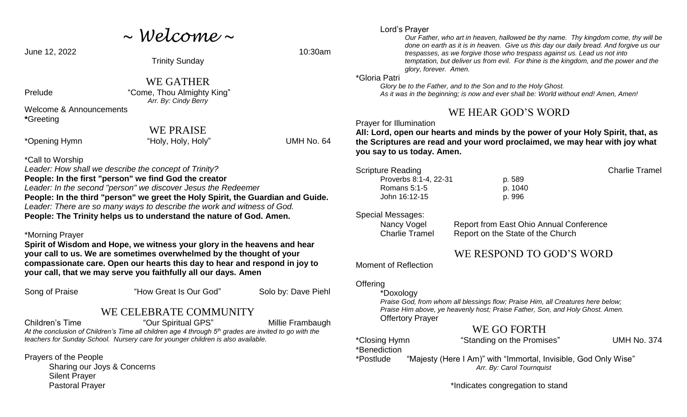*~ Welcome ~*

June 12, 2022 10:30am

Trinity Sunday

WE GATHER Prelude "Come, Thou Almighty King" *Arr. By: Cindy Berry*

Welcome & Announcements **\***Greeting

WE PRAISE

\*Opening Hymn "Holy, Holy, Holy" UMH No. 64

\*Call to Worship

*Leader: How shall we describe the concept of Trinity?*  **People: In the first "person" we find God the creator**  *Leader: In the second "person" we discover Jesus the Redeemer*  **People: In the third "person" we greet the Holy Spirit, the Guardian and Guide.**  *Leader: There are so many ways to describe the work and witness of God.*  **People: The Trinity helps us to understand the nature of God. Amen.** 

#### \*Morning Prayer

**Spirit of Wisdom and Hope, we witness your glory in the heavens and hear your call to us. We are sometimes overwhelmed by the thought of your compassionate care. Open our hearts this day to hear and respond in joy to your call, that we may serve you faithfully all our days. Amen**

Song of Praise "How Great Is Our God" Solo by: Dave Piehl

## WE CELEBRATE COMMUNITY

Children's Time **The Children's Time** "Our Spiritual GPS" Millie Frambaugh *At the conclusion of Children's Time all children age 4 through 5th grades are invited to go with the teachers for Sunday School. Nursery care for younger children is also available.*

Prayers of the People

Sharing our Joys & Concerns Silent Prayer Pastoral Prayer

### Lord's Prayer

*Our Father, who art in heaven, hallowed be thy name. Thy kingdom come, thy will be done on earth as it is in heaven. Give us this day our daily bread. And forgive us our trespasses, as we forgive those who trespass against us. Lead us not into temptation, but deliver us from evil. For thine is the kingdom, and the power and the glory, forever. Amen.*

#### \*Gloria Patri

 *Glory be to the Father, and to the Son and to the Holy Ghost. As it was in the beginning; is now and ever shall be: World without end! Amen, Amen!* 

# WE HEAR GOD'S WORD

Prayer for Illumination

**All: Lord, open our hearts and minds by the power of your Holy Spirit, that, as the Scriptures are read and your word proclaimed, we may hear with joy what you say to us today. Amen.**

| Scripture Reading     |         | <b>Charlie Tramel</b> |
|-----------------------|---------|-----------------------|
| Proverbs 8:1-4, 22-31 | p. 589  |                       |
| Romans $5:1-5$        | p. 1040 |                       |
| John 16:12-15         | p. 996  |                       |
|                       |         |                       |

Special Messages:

Nancy Vogel Report from East Ohio Annual Conference Charlie Tramel Report on the State of the Church

# WE RESPOND TO GOD'S WORD

Moment of Reflection

**Offering** 

## \*Doxology

*Praise God, from whom all blessings flow; Praise Him, all Creatures here below; Praise Him above, ye heavenly host; Praise Father, Son, and Holy Ghost. Amen.* Offertory Prayer

## WE GO FORTH

| *Closing Hymn | "Standing on the Promises"                                      | <b>UMH No. 374</b> |
|---------------|-----------------------------------------------------------------|--------------------|
| *Benediction  |                                                                 |                    |
| *Postlude     | "Majesty (Here I Am)" with "Immortal, Invisible, God Only Wise" |                    |
|               | Arr. By: Carol Tournquist                                       |                    |

\*Indicates congregation to stand